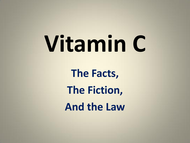# **Vitamin C**

**The Facts, The Fiction, And the Law**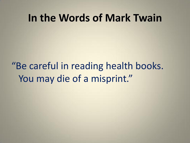#### **In the Words of Mark Twain**

## "Be careful in reading health books. You may die of a misprint."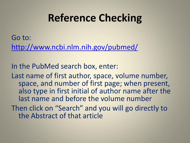## **Reference Checking**

Go to: <http://www.ncbi.nlm.nih.gov/pubmed/>

In the PubMed search box, enter:

Last name of first author, space, volume number, space, and number of first page; when present, also type in first initial of author name after the last name and before the volume number

Then click on "Search" and you will go directly to the Abstract of that article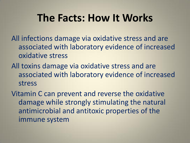#### **The Facts: How It Works**

All infections damage via oxidative stress and are associated with laboratory evidence of increased oxidative stress

All toxins damage via oxidative stress and are associated with laboratory evidence of increased stress

Vitamin C can prevent and reverse the oxidative damage while strongly stimulating the natural antimicrobial and antitoxic properties of the immune system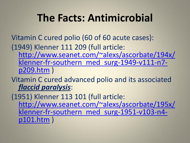## **The Facts: Antimicrobial**

Vitamin C cured polio (60 of 60 acute cases):

(1949) Klenner 111 209 (full article:

[http://www.seanet.com/~alexs/ascorbate/194x/](http://www.seanet.com/~alexs/ascorbate/194x/klenner-fr-southern_med_surg-1949-v111-n7-p209.htm) klenner-fr-southern med surg-1949-v111-n7[p209.htm](http://www.seanet.com/~alexs/ascorbate/194x/klenner-fr-southern_med_surg-1949-v111-n7-p209.htm) )

Vitamin C cured advanced polio and its associated *flaccid paralysis*:

(1951) Klenner 113 101 (full article: [http://www.seanet.com/~alexs/ascorbate/195x/](http://www.seanet.com/~alexs/ascorbate/195x/klenner-fr-southern_med_surg-1951-v103-n4-p101.htm) klenner-fr-southern med surg-1951-v103-n4[p101.htm](http://www.seanet.com/~alexs/ascorbate/195x/klenner-fr-southern_med_surg-1951-v103-n4-p101.htm) )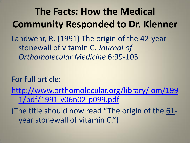**The Facts: How the Medical Community Responded to Dr. Klenner** Landwehr, R. (1991) The origin of the 42-year stonewall of vitamin C. *Journal of Orthomolecular Medicine* 6:99-103

For full article:

[http://www.orthomolecular.org/library/jom/199](http://www.orthomolecular.org/library/jom/1991/pdf/1991-v06n02-p099.pdf) [1/pdf/1991-v06n02-p099.pdf](http://www.orthomolecular.org/library/jom/1991/pdf/1991-v06n02-p099.pdf)

(The title should now read "The origin of the 61 year stonewall of vitamin C.")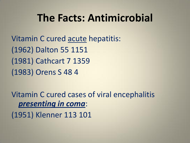#### **The Facts: Antimicrobial**

Vitamin C cured acute hepatitis: (1962) Dalton 55 1151 (1981) Cathcart 7 1359 (1983) Orens S 48 4

Vitamin C cured cases of viral encephalitis *presenting in coma*:

(1951) Klenner 113 101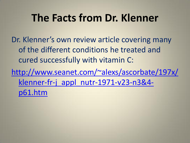## **The Facts from Dr. Klenner**

Dr. Klenner's own review article covering many of the different conditions he treated and cured successfully with vitamin C:

[http://www.seanet.com/~alexs/ascorbate/197x/](http://www.seanet.com/~alexs/ascorbate/197x/klenner-fr-j_appl_nutr-1971-v23-n3&4-p61.htm) [klenner-fr-j\\_appl\\_nutr-1971-v23-n3&4](http://www.seanet.com/~alexs/ascorbate/197x/klenner-fr-j_appl_nutr-1971-v23-n3&4-p61.htm) [p61.htm](http://www.seanet.com/~alexs/ascorbate/197x/klenner-fr-j_appl_nutr-1971-v23-n3&4-p61.htm)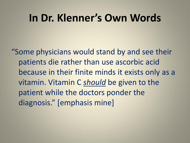#### **In Dr. Klenner's Own Words**

"Some physicians would stand by and see their patients die rather than use ascorbic acid because in their finite minds it exists only as a vitamin. Vitamin C *should* be given to the patient while the doctors ponder the diagnosis." [emphasis mine]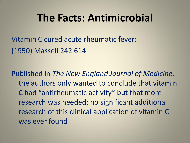#### **The Facts: Antimicrobial**

Vitamin C cured acute rheumatic fever: (1950) Massell 242 614

Published in *The New England Journal of Medicine*, the authors only wanted to conclude that vitamin C had "antirheumatic activity" but that more research was needed; no significant additional research of this clinical application of vitamin C was ever found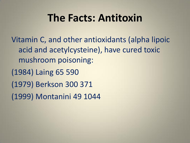## **The Facts: Antitoxin**

Vitamin C, and other antioxidants (alpha lipoic acid and acetylcysteine), have cured toxic mushroom poisoning: (1984) Laing 65 590 (1979) Berkson 300 371 (1999) Montanini 49 1044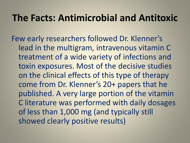#### **The Facts: Antimicrobial and Antitoxic**

Few early researchers followed Dr. Klenner's lead in the multigram, intravenous vitamin C treatment of a wide variety of infections and toxin exposures. Most of the decisive studies on the clinical effects of this type of therapy come from Dr. Klenner's 20+ papers that he published. A very large portion of the vitamin C literature was performed with daily dosages of less than 1,000 mg (and typically still showed clearly positive results)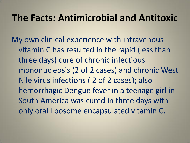#### **The Facts: Antimicrobial and Antitoxic**

My own clinical experience with intravenous vitamin C has resulted in the rapid (less than three days) cure of chronic infectious mononucleosis (2 of 2 cases) and chronic West Nile virus infections ( 2 of 2 cases); also hemorrhagic Dengue fever in a teenage girl in South America was cured in three days with only oral liposome encapsulated vitamin C.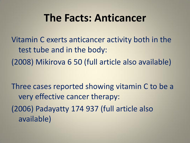#### **The Facts: Anticancer**

Vitamin C exerts anticancer activity both in the test tube and in the body: (2008) Mikirova 6 50 (full article also available)

Three cases reported showing vitamin C to be a very effective cancer therapy: (2006) Padayatty 174 937 (full article also available)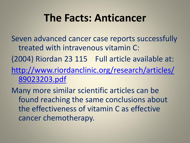## **The Facts: Anticancer**

Seven advanced cancer case reports successfully treated with intravenous vitamin C:

(2004) Riordan 23 115 Full article available at: [http://www.riordanclinic.org/research/articles/](http://www.riordanclinic.org/research/articles/89023203.pdf)

[89023203.pdf](http://www.riordanclinic.org/research/articles/89023203.pdf)

Many more similar scientific articles can be found reaching the same conclusions about the effectiveness of vitamin C as effective cancer chemotherapy.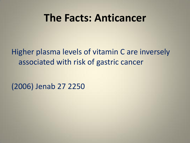#### **The Facts: Anticancer**

#### Higher plasma levels of vitamin C are inversely associated with risk of gastric cancer

(2006) Jenab 27 2250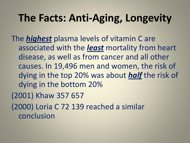## **The Facts: Anti-Aging, Longevity**

The *highest* plasma levels of vitamin C are associated with the *least* mortality from heart disease, as well as from cancer and all other causes. In 19,496 men and women, the risk of dying in the top 20% was about *half* the risk of dying in the bottom 20% (2001) Khaw 357 657 (2000) Loria C 72 139 reached a similar conclusion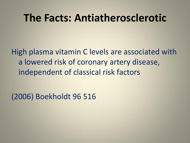#### **The Facts: Antiatherosclerotic**

High plasma vitamin C levels are associated with a lowered risk of coronary artery disease, independent of classical risk factors

(2006) Boekholdt 96 516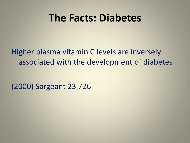#### **The Facts: Diabetes**

Higher plasma vitamin C levels are inversely associated with the development of diabetes

(2000) Sargeant 23 726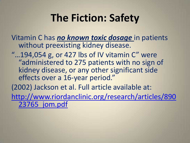Vitamin C has *no known toxic dosage* in patients without preexisting kidney disease.

" $...194,054$  g, or 427 lbs of IV vitamin C" were "administered to 275 patients with no sign of kidney disease, or any other significant side effects over a 16-year period."

(2002) Jackson et al. Full article available at:

[http://www.riordanclinic.org/research/articles/890](http://www.riordanclinic.org/research/articles/89023765_jom.pdf) [23765\\_jom.pdf](http://www.riordanclinic.org/research/articles/89023765_jom.pdf)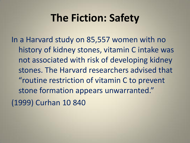In a Harvard study on 85,557 women with no history of kidney stones, vitamin C intake was not associated with risk of developing kidney stones. The Harvard researchers advised that "routine restriction of vitamin C to prevent stone formation appears unwarranted." (1999) Curhan 10 840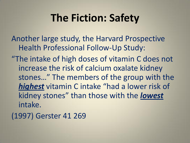Another large study, the Harvard Prospective Health Professional Follow-Up Study:

"The intake of high doses of vitamin C does not increase the risk of calcium oxalate kidney stones…" The members of the group with the *highest* vitamin C intake "had a lower risk of kidney stones" than those with the *lowest* intake.

(1997) Gerster 41 269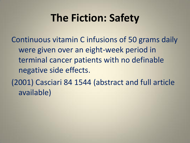Continuous vitamin C infusions of 50 grams daily were given over an eight-week period in terminal cancer patients with no definable negative side effects.

(2001) Casciari 84 1544 (abstract and full article available)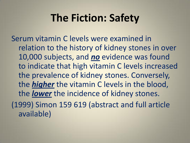Serum vitamin C levels were examined in relation to the history of kidney stones in over 10,000 subjects, and *no* evidence was found to indicate that high vitamin C levels increased the prevalence of kidney stones. Conversely, the *higher* the vitamin C levels in the blood, the *lower* the incidence of kidney stones. (1999) Simon 159 619 (abstract and full article available)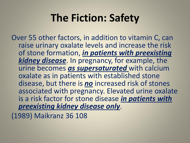Over 55 other factors, in addition to vitamin C, can raise urinary oxalate levels and increase the risk of stone formation, *in patients with preexisting kidney disease*. In pregnancy, for example, the urine becomes *as supersaturated* with calcium oxalate as in patients with established stone disease, but there is *no* increased risk of stones associated with pregnancy. Elevated urine oxalate is a risk factor for stone disease *in patients with preexisting kidney disease only*.

(1989) Maikranz 36 108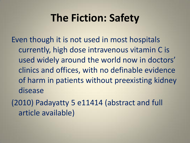Even though it is not used in most hospitals currently, high dose intravenous vitamin C is used widely around the world now in doctors' clinics and offices, with no definable evidence of harm in patients without preexisting kidney disease

(2010) Padayatty 5 e11414 (abstract and full article available)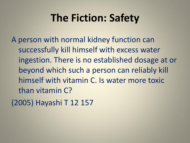A person with normal kidney function can successfully kill himself with excess water ingestion. There is no established dosage at or beyond which such a person can reliably kill himself with vitamin C. Is water more toxic than vitamin C?

(2005) Hayashi T 12 157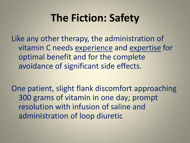Like any other therapy, the administration of vitamin C needs experience and expertise for optimal benefit and for the complete avoidance of significant side effects.

One patient, slight flank discomfort approaching 300 grams of vitamin in one day; prompt resolution with infusion of saline and administration of loop diuretic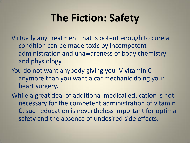Virtually any treatment that is potent enough to cure a condition can be made toxic by incompetent administration and unawareness of body chemistry and physiology.

You do not want anybody giving you IV vitamin C anymore than you want a car mechanic doing your heart surgery.

While a great deal of additional medical education is not necessary for the competent administration of vitamin C, such education is nevertheless important for optimal safety and the absence of undesired side effects.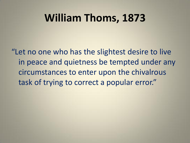## **William Thoms, 1873**

"Let no one who has the slightest desire to live in peace and quietness be tempted under any circumstances to enter upon the chivalrous task of trying to correct a popular error."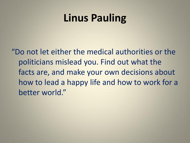## **Linus Pauling**

"Do not let either the medical authorities or the politicians mislead you. Find out what the facts are, and make your own decisions about how to lead a happy life and how to work for a better world."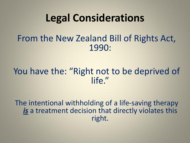#### From the New Zealand Bill of Rights Act, 1990:

#### You have the: "Right not to be deprived of life."

The intentional withholding of a life-saving therapy *is* a treatment decision that directly violates this right.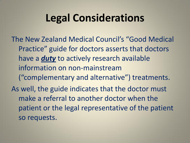The New Zealand Medical Council's "Good Medical Practice" guide for doctors asserts that doctors have a *duty* to actively research available information on non-mainstream ("complementary and alternative") treatments. As well, the guide indicates that the doctor must make a referral to another doctor when the patient or the legal representative of the patient so requests.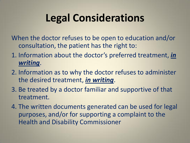When the doctor refuses to be open to education and/or consultation, the patient has the right to:

- 1. Information about the doctor's preferred treatment, *in writing*.
- 2. Information as to why the doctor refuses to administer the desired treatment, *in writing*.
- 3. Be treated by a doctor familiar and supportive of that treatment.
- 4. The written documents generated can be used for legal purposes, and/or for supporting a complaint to the Health and Disability Commissioner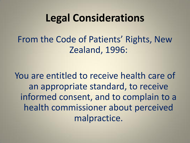From the Code of Patients' Rights, New Zealand, 1996:

You are entitled to receive health care of an appropriate standard, to receive informed consent, and to complain to a health commissioner about perceived malpractice.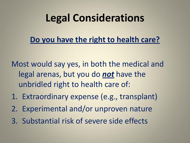#### **Do you have the right to health care?**

Most would say yes, in both the medical and legal arenas, but you do *not* have the unbridled right to health care of:

- 1. Extraordinary expense (e.g., transplant)
- 2. Experimental and/or unproven nature
- 3. Substantial risk of severe side effects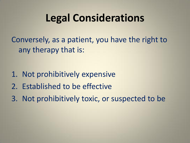Conversely, as a patient, you have the right to any therapy that is:

- 1. Not prohibitively expensive
- 2. Established to be effective
- 3. Not prohibitively toxic, or suspected to be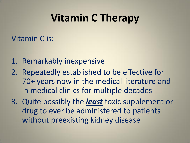## **Vitamin C Therapy**

#### Vitamin C is:

- 1. Remarkably inexpensive
- 2. Repeatedly established to be effective for 70+ years now in the medical literature and in medical clinics for multiple decades
- 3. Quite possibly the *least* toxic supplement or drug to ever be administered to patients without preexisting kidney disease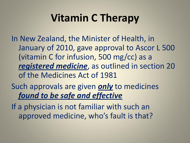# **Vitamin C Therapy**

In New Zealand, the Minister of Health, in January of 2010, gave approval to Ascor L 500 (vitamin C for infusion, 500 mg/cc) as a *registered medicine*, as outlined in section 20 of the Medicines Act of 1981

Such approvals are given *only* to medicines *found to be safe and effective*

If a physician is not familiar with such an approved medicine, who's fault is that?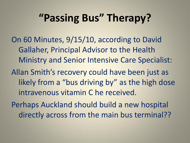## **"Passing Bus" Therapy?**

On 60 Minutes, 9/15/10, according to David Gallaher, Principal Advisor to the Health Ministry and Senior Intensive Care Specialist:

Allan Smith's recovery could have been just as likely from a "bus driving by" as the high dose intravenous vitamin C he received.

Perhaps Auckland should build a new hospital directly across from the main bus terminal??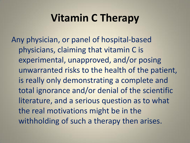## **Vitamin C Therapy**

Any physician, or panel of hospital-based physicians, claiming that vitamin C is experimental, unapproved, and/or posing unwarranted risks to the health of the patient, is really only demonstrating a complete and total ignorance and/or denial of the scientific literature, and a serious question as to what the real motivations might be in the withholding of such a therapy then arises.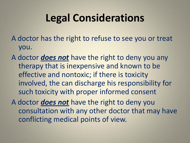- A doctor has the right to refuse to see you or treat you.
- A doctor *does not* have the right to deny you any therapy that is inexpensive and known to be effective and nontoxic; if there is toxicity involved, the can discharge his responsibility for such toxicity with proper informed consent
- A doctor *does not* have the right to deny you consultation with any other doctor that may have conflicting medical points of view.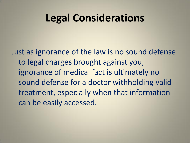Just as ignorance of the law is no sound defense to legal charges brought against you, ignorance of medical fact is ultimately no sound defense for a doctor withholding valid treatment, especially when that information can be easily accessed.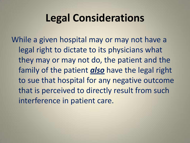While a given hospital may or may not have a legal right to dictate to its physicians what they may or may not do, the patient and the family of the patient *also* have the legal right to sue that hospital for any negative outcome that is perceived to directly result from such interference in patient care.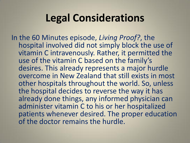In the 60 Minutes episode, *Living Proof?*, the hospital involved did not simply block the use of vitamin C intravenously. Rather, it permitted the use of the vitamin C based on the family's desires. This already represents a major hurdle overcome in New Zealand that still exists in most other hospitals throughout the world. So, unless the hospital decides to reverse the way it has already done things, any informed physician can administer vitamin C to his or her hospitalized patients whenever desired. The proper education of the doctor remains the hurdle.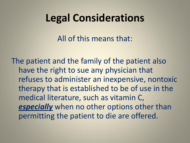All of this means that:

The patient and the family of the patient also have the right to sue any physician that refuses to administer an inexpensive, nontoxic therapy that is established to be of use in the medical literature, such as vitamin C, *especially* when no other options other than permitting the patient to die are offered.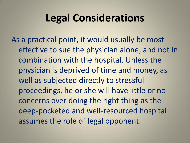As a practical point, it would usually be most effective to sue the physician alone, and not in combination with the hospital. Unless the physician is deprived of time and money, as well as subjected directly to stressful proceedings, he or she will have little or no concerns over doing the right thing as the deep-pocketed and well-resourced hospital assumes the role of legal opponent.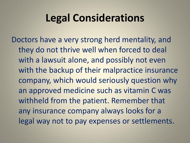Doctors have a very strong herd mentality, and they do not thrive well when forced to deal with a lawsuit alone, and possibly not even with the backup of their malpractice insurance company, which would seriously question why an approved medicine such as vitamin C was withheld from the patient. Remember that any insurance company always looks for a legal way not to pay expenses or settlements.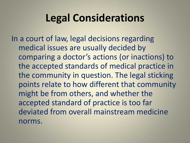In a court of law, legal decisions regarding medical issues are usually decided by comparing a doctor's actions (or inactions) to the accepted standards of medical practice in the community in question. The legal sticking points relate to how different that community might be from others, and whether the accepted standard of practice is too far deviated from overall mainstream medicine norms.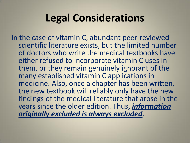In the case of vitamin C, abundant peer-reviewed scientific literature exists, but the limited number of doctors who write the medical textbooks have either refused to incorporate vitamin C uses in them, or they remain genuinely ignorant of the many established vitamin C applications in medicine. Also, once a chapter has been written, the new textbook will reliably only have the new findings of the medical literature that arose in the years since the older edition. Thus, *information originally excluded is always excluded*.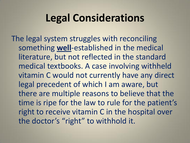The legal system struggles with reconciling something **well**-established in the medical literature, but not reflected in the standard medical textbooks. A case involving withheld vitamin C would not currently have any direct legal precedent of which I am aware, but there are multiple reasons to believe that the time is ripe for the law to rule for the patient's right to receive vitamin C in the hospital over the doctor's "right" to withhold it.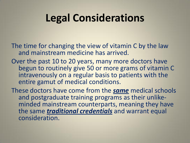The time for changing the view of vitamin C by the law and mainstream medicine has arrived.

- Over the past 10 to 20 years, many more doctors have begun to routinely give 50 or more grams of vitamin C intravenously on a regular basis to patients with the entire gamut of medical conditions.
- These doctors have come from the *same* medical schools and postgraduate training programs as their unlikeminded mainstream counterparts, meaning they have the same *traditional credentials* and warrant equal consideration.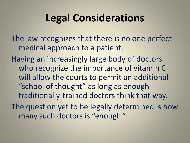The law recognizes that there is no one perfect medical approach to a patient.

Having an increasingly large body of doctors who recognize the importance of vitamin C will allow the courts to permit an additional "school of thought" as long as enough traditionally-trained doctors think that way. The question yet to be legally determined is how many such doctors is "enough."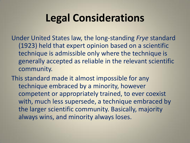Under United States law, the long-standing *Frye* standard (1923) held that expert opinion based on a scientific technique is admissible only where the technique is generally accepted as reliable in the relevant scientific community.

This standard made it almost impossible for any technique embraced by a minority, however competent or appropriately trained, to ever coexist with, much less supersede, a technique embraced by the larger scientific community. Basically, majority always wins, and minority always loses.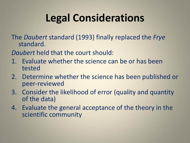The *Daubert* standard (1993) finally replaced the *Frye*  standard.

*Daubert* held that the court should:

- 1. Evaluate whether the science can be or has been tested
- 2. Determine whether the science has been published or peer-reviewed
- 3. Consider the likelihood of error (quality and quantity of the data)
- 4. Evaluate the general acceptance of the theory in the scientific community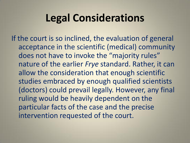If the court is so inclined, the evaluation of general acceptance in the scientific (medical) community does not have to invoke the "majority rules" nature of the earlier *Frye* standard. Rather, it can allow the consideration that enough scientific studies embraced by enough qualified scientists (doctors) could prevail legally. However, any final ruling would be heavily dependent on the particular facts of the case and the precise intervention requested of the court.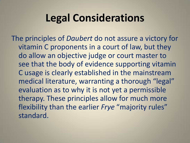The principles of *Daubert* do not assure a victory for vitamin C proponents in a court of law, but they do allow an objective judge or court master to see that the body of evidence supporting vitamin C usage is clearly established in the mainstream medical literature, warranting a thorough "legal" evaluation as to why it is not yet a permissible therapy. These principles allow for much more flexibility than the earlier *Frye* "majority rules" standard.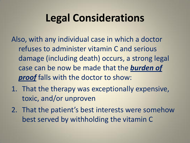Also, with any individual case in which a doctor refuses to administer vitamin C and serious damage (including death) occurs, a strong legal case can be now be made that the *burden of proof* falls with the doctor to show:

- 1. That the therapy was exceptionally expensive, toxic, and/or unproven
- 2. That the patient's best interests were somehow best served by withholding the vitamin C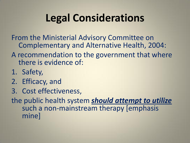From the Ministerial Advisory Committee on Complementary and Alternative Health, 2004:

#### A recommendation to the government that where there is evidence of:

- 1. Safety,
- 2. Efficacy, and
- 3. Cost effectiveness,

the public health system *should attempt to utilize*  such a non-mainstream therapy [emphasis mine]

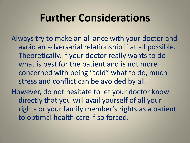## **Further Considerations**

Always try to make an alliance with your doctor and avoid an adversarial relationship if at all possible. Theoretically, if your doctor really wants to do what is best for the patient and is not more concerned with being "told" what to do, much stress and conflict can be avoided by all.

However, do not hesitate to let your doctor know directly that you will avail yourself of all your rights or your family member's rights as a patient to optimal health care if so forced.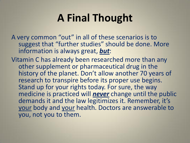## **A Final Thought**

A very common "out" in all of these scenarios is to suggest that "further studies" should be done. More information is always great, *but*:

Vitamin C has already been researched more than any other supplement or pharmaceutical drug in the history of the planet. Don't allow another 70 years of research to transpire before its proper use begins. Stand up for your rights today. For sure, the way medicine is practiced will *never* change until the public demands it and the law legitimizes it. Remember, it's your body and your health. Doctors are answerable to you, not you to them.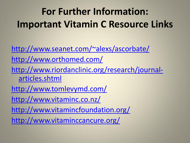# **For Further Information: Important Vitamin C Resource Links**

<http://www.seanet.com/~alexs/ascorbate/> <http://www.orthomed.com/> [http://www.riordanclinic.org/research/journal](http://www.riordanclinic.org/research/journal-articles.shtml)[articles.shtml](http://www.riordanclinic.org/research/journal-articles.shtml) <http://www.tomlevymd.com/> <http://www.vitaminc.co.nz/> <http://www.vitamincfoundation.org/> <http://www.vitaminccancure.org/>